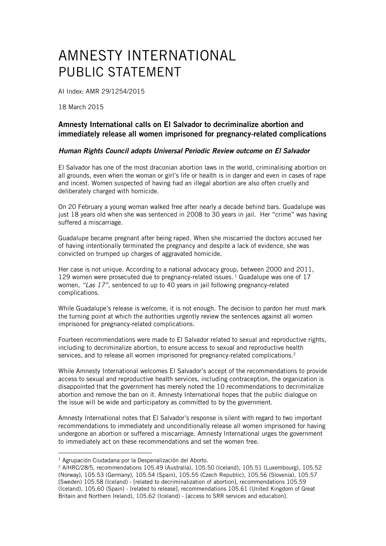## AMNESTY INTERNATIONAL PUBLIC STATEMENT

AI Index: AMR 29/1254/2015

18 March 2015

## Amnesty International calls on El Salvador to decriminalize abortion and immediately release all women imprisoned for pregnancy-related complications

## *Human Rights Council adopts Universal Periodic Review outcome on El Salvador*

El Salvador has one of the most draconian abortion laws in the world, criminalising abortion on all grounds, even when the woman or girl's life or health is in danger and even in cases of rape and incest. Women suspected of having had an illegal abortion are also often cruelly and deliberately charged with homicide.

On 20 February a young woman walked free after nearly a decade behind bars. Guadalupe was just 18 years old when she was sentenced in 2008 to 30 years in jail. Her "crime" was having suffered a miscarriage.

Guadalupe became pregnant after being raped. When she miscarried the doctors accused her of having intentionally terminated the pregnancy and despite a lack of evidence, she was convicted on trumped up charges of aggravated homicide.

Her case is not unique. According to a national advocacy group, between 2000 and 2011, 129 women were prosecuted due to pregnancy-related issues.<sup>1</sup> Guadalupe was one of 17 women, *"Las 17"*, sentenced to up to 40 years in jail following pregnancy-related complications.

While Guadalupe's release is welcome, it is not enough. The decision to pardon her must mark the turning point at which the authorities urgently review the sentences against all women imprisoned for pregnancy-related complications.

Fourteen recommendations were made to El Salvador related to sexual and reproductive rights, including to decriminalize abortion, to ensure access to sexual and reproductive health services, and to release all women imprisoned for pregnancy-related complications.<sup>2</sup>

While Amnesty International welcomes El Salvador's accept of the recommendations to provide access to sexual and reproductive health services, including contraception, the organization is disappointed that the government has merely noted the 10 recommendations to decriminalize abortion and remove the ban on it. Amnesty International hopes that the public dialogue on the issue will be wide and participatory as committed to by the government.

Amnesty International notes that El Salvador's response is silent with regard to two important recommendations to immediately and unconditionally release all women imprisoned for having undergone an abortion or suffered a miscarriage. Amnesty International urges the government to immediately act on these recommendations and set the women free.

1

<sup>1</sup> Agrupación Ciudadana por la Despenalización del Aborto.

<sup>2</sup> A/HRC/28/5, recommendations 105.49 (Australia), 105.50 (Iceland), 105.51 (Luxembourg), 105.52 (Norway), 105.53 (Germany), 105.54 (Spain), 105.55 (Czech Republic), 105.56 (Slovenia), 105.57 (Sweden) 105.58 (Iceland) - [related to decriminalization of abortion], recommendations 105.59 (Iceland), 105.60 (Spain) - [related to release], recommendations 105.61 (United Kingdom of Great Britain and Northern Ireland), 105.62 (Iceland) - [access to SRR services and education].